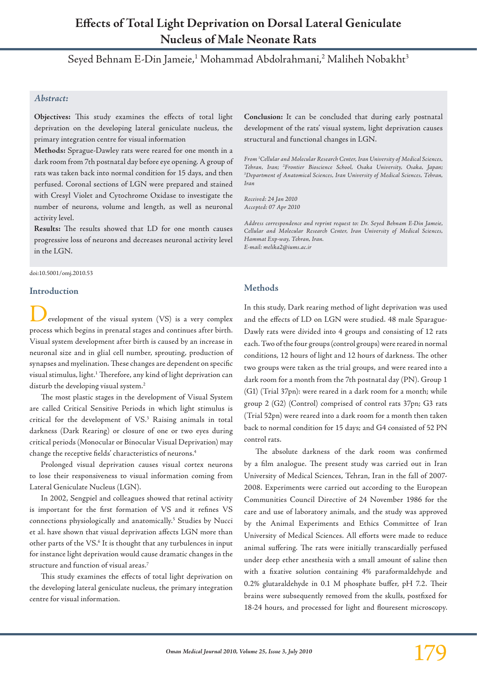# **Effects of Total Light Deprivation on Dorsal Lateral Geniculate Nucleus of Male Neonate Rats**

Seyed Behnam E-Din Jameie,<sup>1</sup> Mohammad Abdolrahmani,<sup>2</sup> Maliheh Nobakht<sup>3</sup>

#### *Abstract:*

**Objectives:** This study examines the effects of total light deprivation on the developing lateral geniculate nucleus, the primary integration centre for visual information

**Methods:** Sprague-Dawley rats were reared for one month in a dark room from 7th postnatal day before eye opening. A group of rats was taken back into normal condition for 15 days, and then perfused. Coronal sections of LGN were prepared and stained with Cresyl Violet and Cytochrome Oxidase to investigate the number of neurons, volume and length, as well as neuronal activity level.

**Results:** The results showed that LD for one month causes progressive loss of neurons and decreases neuronal activity level in the LGN.

#### doi:10.5001/omj.2010.53

#### **Introduction**

evelopment of the visual system (VS) is a very complex process which begins in prenatal stages and continues after birth. Visual system development after birth is caused by an increase in neuronal size and in glial cell number, sprouting, production of synapses and myelination. These changes are dependent on specific visual stimulus, light.1 Therefore, any kind of light deprivation can disturb the developing visual system.<sup>2</sup>

The most plastic stages in the development of Visual System are called Critical Sensitive Periods in which light stimulus is critical for the development of VS.3 Raising animals in total darkness (Dark Rearing) or closure of one or two eyes during critical periods (Monocular or Binocular Visual Deprivation) may change the receptive fields' characteristics of neurons.4

Prolonged visual deprivation causes visual cortex neurons to lose their responsiveness to visual information coming from Lateral Geniculate Nucleus (LGN).

In 2002, Sengpiel and colleagues showed that retinal activity is important for the first formation of VS and it refines VS connections physiologically and anatomically.5 Studies by Nucci et al. have shown that visual deprivation affects LGN more than other parts of the VS.<sup>6</sup> It is thought that any turbulences in input for instance light deprivation would cause dramatic changes in the structure and function of visual areas.7

This study examines the effects of total light deprivation on the developing lateral geniculate nucleus, the primary integration centre for visual information.

**Conclusion:** It can be concluded that during early postnatal development of the rats' visual system, light deprivation causes structural and functional changes in LGN.

*From 1 Cellular and Molecular Research Center, Iran University of Medical Sciences, Tehran, Iran; 2 Frontier Bioscience School, Osaka University, Osaka, Japan; 3 Department of Anatomical Sciences, Iran University of Medical Sciences, Tehran, Iran* 

*Received: 24 Jan 2010 Accepted: 07 Apr 2010*

*Address correspondence and reprint request to: Dr. Seyed Behnam E-Din Jameie, Cellular and Molecular Research Center, Iran University of Medical Sciences, Hammat Exp-way, Tehran, Iran. E-mail: melika2@iums.ac.ir*

## **Methods**

In this study, Dark rearing method of light deprivation was used and the effects of LD on LGN were studied. 48 male Sparague-Dawly rats were divided into 4 groups and consisting of 12 rats each. Two of the four groups (control groups) were reared in normal conditions, 12 hours of light and 12 hours of darkness. The other two groups were taken as the trial groups, and were reared into a dark room for a month from the 7th postnatal day (PN). Group 1 (G1) (Trial 37pn): were reared in a dark room for a month; while group 2 (G2) (Control) comprised of control rats 37pn; G3 rats (Trial 52pn) were reared into a dark room for a month then taken back to normal condition for 15 days; and G4 consisted of 52 PN control rats.

The absolute darkness of the dark room was confirmed by a film analogue. The present study was carried out in Iran University of Medical Sciences, Tehran, Iran in the fall of 2007- 2008. Experiments were carried out according to the European Communities Council Directive of 24 November 1986 for the care and use of laboratory animals, and the study was approved by the Animal Experiments and Ethics Committee of Iran University of Medical Sciences. All efforts were made to reduce animal suffering. The rats were initially transcardially perfused under deep ether anesthesia with a small amount of saline then with a fixative solution containing 4% paraformaldehyde and 0.2% glutaraldehyde in 0.1 M phosphate buffer, pH 7.2. Their brains were subsequently removed from the skulls, postfixed for 18-24 hours, and processed for light and flouresent microscopy.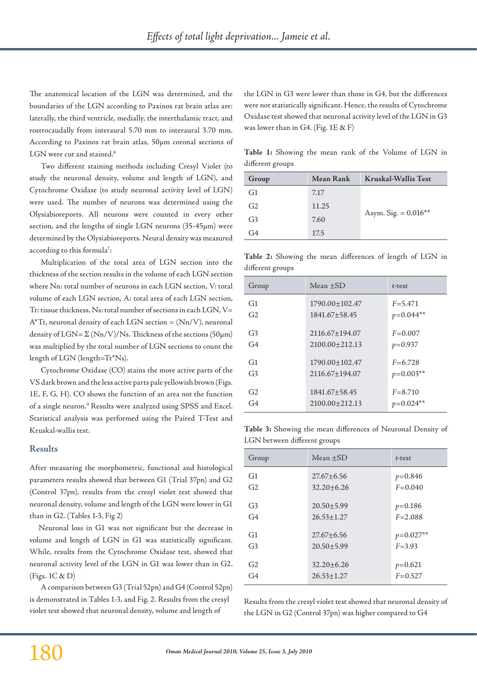The anatomical location of the LGN was determined, and the boundaries of the LGN according to Paxinos rat brain atlas are: laterally, the third ventricle, medially, the interthalamic tract, and rostrocaudally from interaural 5.70 mm to interaural 3.70 mm. According to Paxinos rat brain atlas, 50µm coronal sections of LGN were cut and stained.<sup>8</sup>

Two different staining methods including Cresyl Violet (to study the neuronal density, volume and length of LGN), and Cytochrome Oxidase (to study neuronal activity level of LGN) were used. The number of neurons was determined using the Olysiabioreports. All neurons were counted in every other section, and the lengths of single LGN neurons (35-45µm) were determined by the Olysiabioreports. Neural density was measured according to this formula $^7:$ 

Multiplication of the total area of LGN section into the thickness of the section results in the volume of each LGN section where Nn: total number of neurons in each LGN section, V: total volume of each LGN section, A: total area of each LGN section, Tt: tissue thickness, Ns: total number of sections in each LGN, V=  $A^*$ Tt, neuronal density of each LGN section =  $(Nn/V)$ , neuronal density of LGN= $\Sigma$ (Nn/V)/Ns. Thickness of the sections (50 $\mu$ m) was multiplied by the total number of LGN sections to count the length of LGN (length=Tt\*Ns).

Cytochrome Oxidase (CO) stains the more active parts of the VS dark brown and the less active parts pale yellowish brown (Figs. 1E, F, G, H). CO shows the function of an area not the function of a single neuron.9 Results were analyzed using SPSS and Excel. Statistical analysis was performed using the Paired T-Test and Kruskal-wallis test.

#### **Results**

After measuring the morphometric, functional and histological parameters results showed that between G1 (Trial 37pn) and G2 (Control 37pn), results from the cresyl violet test showed that neuronal density, volume and length of the LGN were lower in G1 than in G2. (Tables 1-3, Fig 2)

Neuronal loss in G1 was not significant but the decrease in volume and length of LGN in G1 was statistically significant. While, results from the Cytochrome Oxidase test, showed that neuronal activity level of the LGN in G1 was lower than in G2. (Figs. 1C & D)

A comparison between G3 (Trial 52pn) and G4 (Control 52pn) is demonstrated in Tables 1-3, and Fig. 2. Results from the cresyl violet test showed that neuronal density, volume and length of

the LGN in G3 were lower than those in G4, but the differences were not statistically significant. Hence, the results of Cytochrome Oxidase test showed that neuronal activity level of the LGN in G3 was lower than in G4. (Fig. 1E & F)

**Table 1:** Showing the mean rank of the Volume of LGN in different groups

| Group          | <b>Mean Rank</b> | Kruskal-Wallis Test    |  |
|----------------|------------------|------------------------|--|
| G1             | 7.17             |                        |  |
| G <sub>2</sub> | 11.25            |                        |  |
| G <sub>3</sub> | 7.60             | Asym. Sig. = $0.016**$ |  |
| G4             | 17.5             |                        |  |

**Table 2:** Showing the mean differences of length of LGN in different groups

| Group          | Mean $+SD$         | t-test      |
|----------------|--------------------|-------------|
| G <sub>1</sub> | $1790.00 + 102.47$ | $F = 5.471$ |
| G2             | 1841.67±58.45      | $p=0.044**$ |
| G <sub>3</sub> | 2116.67+194.07     | $F = 0.007$ |
| G <sub>4</sub> | $2100.00+212.13$   | $p=0.937$   |
| G1             | $1790.00 + 102.47$ | $F = 6.728$ |
| G <sub>3</sub> | 2116.67+194.07     | $p=0.003**$ |
| G2             | 1841.67+58.45      | $F = 8.710$ |
| G4             | $2100.00+212.13$   | $p=0.024**$ |

**Table 3:** Showing the mean differences of Neuronal Density of LGN between different groups

| Group          | Mean $+SD$     | t-test      |
|----------------|----------------|-------------|
| G <sub>1</sub> | $27.67 + 6.56$ | $p=0.846$   |
| G2             | $32.20 + 6.26$ | $F = 0.040$ |
| G <sub>3</sub> | $20.50 + 5.99$ | $p=0.186$   |
| G <sub>4</sub> | $26.53 + 1.27$ | $F = 2.088$ |
| G <sub>1</sub> | $27.67 + 6.56$ | $p=0.027**$ |
| G <sub>3</sub> | $20.50 + 5.99$ | $F = 3.93$  |
| G <sub>2</sub> | $32.20 + 6.26$ | $p=0.621$   |
| G <sub>4</sub> | $26.53 + 1.27$ | $F = 0.527$ |

Results from the cresyl violet test showed that neuronal density of the LGN in G2 (Control 37pn) was higher compared to G4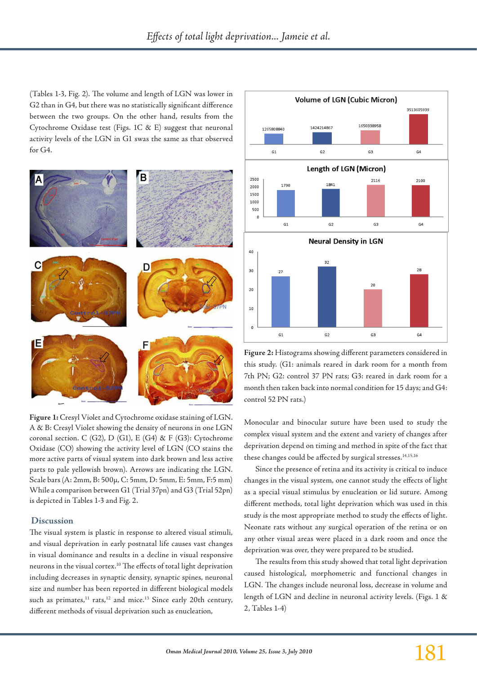(Tables 1-3, Fig. 2). The volume and length of LGN was lower in G2 than in G4, but there was no statistically significant difference between the two groups. On the other hand, results from the Cytochrome Oxidase test (Figs. 1C & E) suggest that neuronal activity levels of the LGN in G1 swas the same as that observed for G4.



**Figure 1:** Cresyl Violet and Cytochrome oxidase staining of LGN. A & B: Cresyl Violet showing the density of neurons in one LGN coronal section. C (G2), D (G1), E (G4) & F (G3): Cytochrome Oxidase (CO) showing the activity level of LGN (CO stains the more active parts of visual system into dark brown and less active parts to pale yellowish brown). Arrows are indicating the LGN. Scale bars (A: 2mm, B: 500µ, C: 5mm, D: 5mm, E: 5mm, F:5 mm) While a comparison between G1 (Trial 37pn) and G3 (Trial 52pn) is depicted in Tables 1-3 and Fig. 2.

#### **Discussion**

The visual system is plastic in response to altered visual stimuli, and visual deprivation in early postnatal life causes vast changes in visual dominance and results in a decline in visual responsive neurons in the visual cortex.10 The effects of total light deprivation including decreases in synaptic density, synaptic spines, neuronal size and number has been reported in different biological models such as primates, $11$  rats, $12$  and mice.<sup>13</sup> Since early 20th century, different methods of visual deprivation such as enucleation,



**Figure 2:** Histograms showing different parameters considered in this study. (G1: animals reared in dark room for a month from 7th PN; G2: control 37 PN rats; G3: reared in dark room for a month then taken back into normal condition for 15 days; and G4: control 52 PN rats.)

Monocular and binocular suture have been used to study the complex visual system and the extent and variety of changes after deprivation depend on timing and method in spite of the fact that these changes could be affected by surgical stresses.<sup>14,15,16</sup>

Since the presence of retina and its activity is critical to induce changes in the visual system, one cannot study the effects of light as a special visual stimulus by enucleation or lid suture. Among different methods, total light deprivation which was used in this study is the most appropriate method to study the effects of light. Neonate rats without any surgical operation of the retina or on any other visual areas were placed in a dark room and once the deprivation was over, they were prepared to be studied.

The results from this study showed that total light deprivation caused histological, morphometric and functional changes in LGN. The changes include neuronal loss, decrease in volume and length of LGN and decline in neuronal activity levels. (Figs. 1 & 2, Tables 1-4)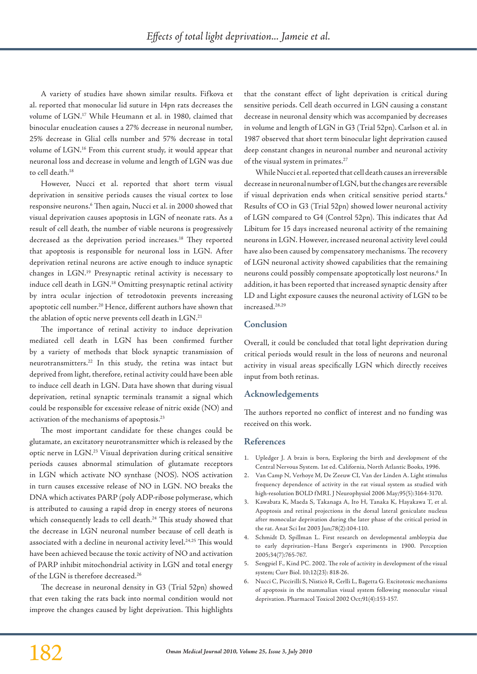A variety of studies have shown similar results. Fifkova et al. reported that monocular lid suture in 14pn rats decreases the volume of LGN.17 While Heumann et al. in 1980, claimed that binocular enucleation causes a 27% decrease in neuronal number, 25% decrease in Glial cells number and 57% decrease in total volume of LGN.16 From this current study, it would appear that neuronal loss and decrease in volume and length of LGN was due to cell death.18

However, Nucci et al. reported that short term visual deprivation in sensitive periods causes the visual cortex to lose responsive neurons.6 Then again, Nucci et al. in 2000 showed that visual deprivation causes apoptosis in LGN of neonate rats. As a result of cell death, the number of viable neurons is progressively decreased as the deprivation period increases.<sup>18</sup> They reported that apoptosis is responsible for neuronal loss in LGN. After deprivation retinal neurons are active enough to induce synaptic changes in LGN.19 Presynaptic retinal activity is necessary to induce cell death in LGN.18 Omitting presynaptic retinal activity by intra ocular injection of tetrodotoxin prevents increasing apoptotic cell number.<sup>20</sup> Hence, different authors have shown that the ablation of optic nerve prevents cell death in LGN.<sup>21</sup>

The importance of retinal activity to induce deprivation mediated cell death in LGN has been confirmed further by a variety of methods that block synaptic transmission of neurotransmitters.22 In this study, the retina was intact but deprived from light, therefore, retinal activity could have been able to induce cell death in LGN. Data have shown that during visual deprivation, retinal synaptic terminals transmit a signal which could be responsible for excessive release of nitric oxide (NO) and activation of the mechanisms of apoptosis.23

The most important candidate for these changes could be glutamate, an excitatory neurotransmitter which is released by the optic nerve in LGN.23 Visual deprivation during critical sensitive periods causes abnormal stimulation of glutamate receptors in LGN which activate NO synthase (NOS). NOS activation in turn causes excessive release of NO in LGN. NO breaks the DNA which activates PARP (poly ADP-ribose polymerase, which is attributed to causing a rapid drop in energy stores of neurons which consequently leads to cell death.<sup>24</sup> This study showed that the decrease in LGN neuronal number because of cell death is associated with a decline in neuronal activity level.<sup>24,25</sup> This would have been achieved because the toxic activity of NO and activation of PARP inhibit mitochondrial activity in LGN and total energy of the LGN is therefore decreased.26

The decrease in neuronal density in G3 (Trial 52pn) showed that even taking the rats back into normal condition would not improve the changes caused by light deprivation. This highlights

that the constant effect of light deprivation is critical during sensitive periods. Cell death occurred in LGN causing a constant decrease in neuronal density which was accompanied by decreases in volume and length of LGN in G3 (Trial 52pn). Carlson et al. in 1987 observed that short term binocular light deprivation caused deep constant changes in neuronal number and neuronal activity of the visual system in primates.<sup>27</sup>

While Nucci et al. reported that cell death causes an irreversible decrease in neuronal number of LGN, but the changes are reversible if visual deprivation ends when critical sensitive period starts.<sup>6</sup> Results of CO in G3 (Trial 52pn) showed lower neuronal activity of LGN compared to G4 (Control 52pn). This indicates that Ad Libitum for 15 days increased neuronal activity of the remaining neurons in LGN. However, increased neuronal activity level could have also been caused by compensatory mechanisms. The recovery of LGN neuronal activity showed capabilities that the remaining neurons could possibly compensate apoptotically lost neurons.<sup>6</sup> In addition, it has been reported that increased synaptic density after LD and Light exposure causes the neuronal activity of LGN to be increased.28,29

### **Conclusion**

Overall, it could be concluded that total light deprivation during critical periods would result in the loss of neurons and neuronal activity in visual areas specifically LGN which directly receives input from both retinas.

#### **Acknowledgements**

The authors reported no conflict of interest and no funding was received on this work.

#### **References**

- 1. Upledger J. A brain is born, Exploring the birth and development of the Central Nervous System. 1st ed. California, North Atlantic Books, 1996.
- 2. Van Camp N, Verhoye M, De Zeeuw CI, Van der Linden A. Light stimulus frequency dependence of activity in the rat visual system as studied with high-resolution BOLD fMRI. J Neurophysiol 2006 May;95(5):3164-3170.
- 3. Kawabata K, Maeda S, Takanaga A, Ito H, Tanaka K, Hayakawa T, et al. Apoptosis and retinal projections in the dorsal lateral geniculate nucleus after monocular deprivation during the later phase of the critical period in the rat. Anat Sci Int 2003 Jun;78(2):104-110.
- 4. Schmidt D, Spillman L. First research on developmental ambloypia due to early deprivation–Hans Berger's experiments in 1900. Perception 2005;34(7):765-767.
- 5. Sengpiel F., Kind PC. 2002. The role of activity in development of the visual system; Curr Biol. 10;12(23): 818-26.
- 6. Nucci C, Piccirilli S, Nisticò R, Cerlli L, Bagetta G. Excitotoxic mechanisms of apoptosis in the mammalian visual system following monocular visual deprivation. Pharmacol Toxicol 2002 Oct;91(4):153-157.